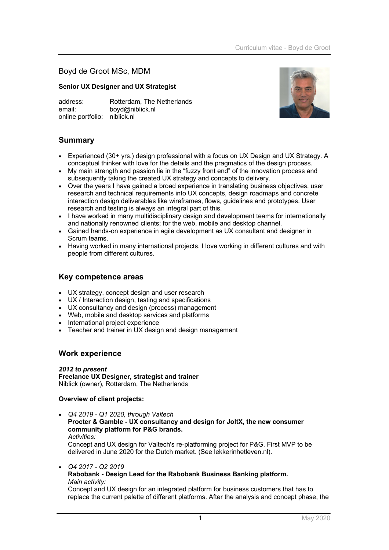Boyd de Groot MSc, MDM

### **Senior UX Designer and UX Strategist**

address: Rotterdam, The Netherlands email: boyd@niblick.nl online portfolio: niblick.nl



# **Summary**

- Experienced (30+ yrs.) design professional with a focus on UX Design and UX Strategy. A conceptual thinker with love for the details and the pragmatics of the design process.
- My main strength and passion lie in the "fuzzy front end" of the innovation process and subsequently taking the created UX strategy and concepts to delivery.
- Over the years I have gained a broad experience in translating business objectives, user research and technical requirements into UX concepts, design roadmaps and concrete interaction design deliverables like wireframes, flows, guidelines and prototypes. User research and testing is always an integral part of this.
- I have worked in many multidisciplinary design and development teams for internationally and nationally renowned clients; for the web, mobile and desktop channel.
- Gained hands-on experience in agile development as UX consultant and designer in Scrum teams.
- Having worked in many international projects, I love working in different cultures and with people from different cultures.

# **Key competence areas**

- UX strategy, concept design and user research
- UX / Interaction design, testing and specifications
- UX consultancy and design (process) management
- Web, mobile and desktop services and platforms
- International project experience
- Teacher and trainer in UX design and design management

### **Work experience**

### *2012 to present*

**Freelance UX Designer, strategist and trainer** Niblick (owner), Rotterdam, The Netherlands

### **Overview of client projects:**

- *Q4 2019 - Q1 2020, through Valtech* **Procter & Gamble - UX consultancy and design for JoltX, the new consumer community platform for P&G brands.** *Activities:* Concept and UX design for Valtech's re-platforming project for P&G. First MVP to be delivered in June 2020 for the Dutch market. (See lekkerinhetleven.nl).
	- *Q4 2017 - Q2 2019* **Rabobank - Design Lead for the Rabobank Business Banking platform.** *Main activity:* Concept and UX design for an integrated platform for business customers that has to replace the current palette of different platforms. After the analysis and concept phase, the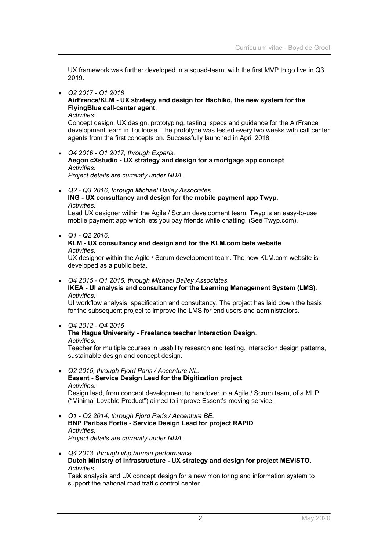UX framework was further developed in a squad-team, with the first MVP to go live in Q3 2019.

### • *Q2 2017 - Q1 2018*

### **AirFrance/KLM - UX strategy and design for Hachiko, the new system for the FlyingBlue call-center agent**.

#### *Activities:*

Concept design, UX design, prototyping, testing, specs and guidance for the AirFrance development team in Toulouse. The prototype was tested every two weeks with call center agents from the first concepts on. Successfully launched in April 2018.

• *Q4 2016 - Q1 2017, through Experis.* **Aegon cXstudio - UX strategy and design for a mortgage app concept**. *Activities: Project details are currently under NDA.*

• *Q2 - Q3 2016, through Michael Bailey Associates.*

### **ING - UX consultancy and design for the mobile payment app Twyp**. *Activities:*

Lead UX designer within the Agile / Scrum development team. Twyp is an easy-to-use mobile payment app which lets you pay friends while chatting. (See Twyp.com).

• *Q1 - Q2 2016.*

#### **KLM - UX consultancy and design and for the KLM.com beta website**. *Activities:*

UX designer within the Agile / Scrum development team. The new KLM.com website is developed as a public beta.

• *Q4 2015 - Q1 2016, through Michael Bailey Associates.*

### **IKEA - UI analysis and consultancy for the Learning Management System (LMS)**. *Activities:*

UI workflow analysis, specification and consultancy. The project has laid down the basis for the subsequent project to improve the LMS for end users and administrators*.*

### • *Q4 2012 - Q4 2016*

# **The Hague University - Freelance teacher Interaction Design**.

*Activities:*

Teacher for multiple courses in usability research and testing, interaction design patterns, sustainable design and concept design.

- *Q2 2015, through Fjord Paris / Accenture NL.* **Essent - Service Design Lead for the Digitization project**. *Activities:*  Design lead, from concept development to handover to a Agile / Scrum team, of a MLP ("Minimal Lovable Product") aimed to improve Essent's moving service.
- *Q1 - Q2 2014, through Fjord Paris / Accenture BE.* **BNP Paribas Fortis - Service Design Lead for project RAPID**. *Activities: Project details are currently under NDA.*
- *Q4 2013, through vhp human performance.* **Dutch Ministry of Infrastructure - UX strategy and design for project MEVISTO.** *Activities:*

Task analysis and UX concept design for a new monitoring and information system to support the national road traffic control center.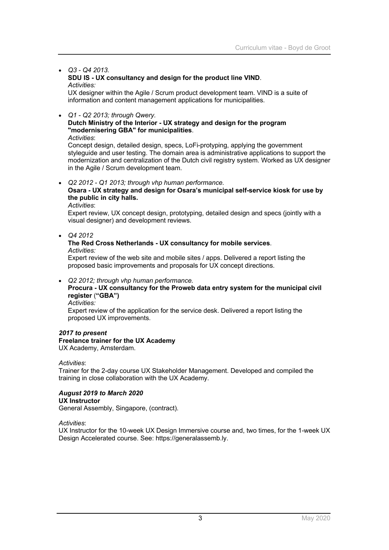### • *Q3 - Q4 2013.*

#### **SDU IS - UX consultancy and design for the product line VIND**. *Activities:*

UX designer within the Agile / Scrum product development team. VIND is a suite of information and content management applications for municipalities.

### • *Q1 - Q2 2013; through Qwery.*

### **Dutch Ministry of the Interior - UX strategy and design for the program "modernisering GBA" for municipalities**.

*Activities*:

Concept design, detailed design, specs, LoFi-protyping, applying the government styleguide and user testing. The domain area is administrative applications to support the modernization and centralization of the Dutch civil registry system. Worked as UX designer in the Agile / Scrum development team.

#### • *Q2 2012 - Q1 2013; through vhp human performance.*

### **Osara - UX strategy and design for Osara's municipal self-service kiosk for use by the public in city halls.**

*Activities*:

Expert review, UX concept design, prototyping, detailed design and specs (jointly with a visual designer) and development reviews.

• *Q4 2012*

# **The Red Cross Netherlands - UX consultancy for mobile services**.

*Activities:*

Expert review of the web site and mobile sites / apps. Delivered a report listing the proposed basic improvements and proposals for UX concept directions.

• *Q2 2012; through vhp human performance.*

# **Procura - UX consultancy for the Proweb data entry system for the municipal civil register** (**"GBA")**

*Activities:*

Expert review of the application for the service desk. Delivered a report listing the proposed UX improvements.

#### *2017 to present* **Freelance trainer for the UX Academy** UX Academy, Amsterdam.

### *Activities*:

Trainer for the 2-day course UX Stakeholder Management. Developed and compiled the training in close collaboration with the UX Academy.

### *August 2019 to March 2020*

#### **UX Instructor** General Assembly, Singapore, (contract).

*Activities*:

UX Instructor for the 10-week UX Design Immersive course and, two times, for the 1-week UX Design Accelerated course. See: https://generalassemb.ly.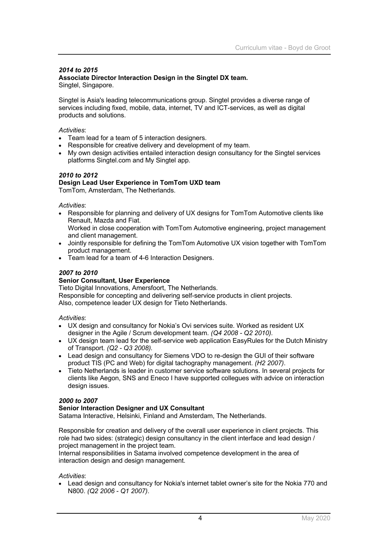# *2014 to 2015*

**Associate Director Interaction Design in the Singtel DX team.** Singtel, Singapore.

Singtel is Asia's leading telecommunications group. Singtel provides a diverse range of services including fixed, mobile, data, internet, TV and ICT-services, as well as digital products and solutions.

### *Activities*:

- Team lead for a team of 5 interaction designers.
- Responsible for creative delivery and development of my team.
- My own design activities entailed interaction design consultancy for the Singtel services platforms Singtel.com and My Singtel app.

### *2010 to 2012*

### **Design Lead User Experience in TomTom UXD team** TomTom, Amsterdam, The Netherlands.

*Activities*:

- Responsible for planning and delivery of UX designs for TomTom Automotive clients like Renault, Mazda and Fiat. Worked in close cooperation with TomTom Automotive engineering, project management
- and client management. • Jointly responsible for defining the TomTom Automotive UX vision together with TomTom product management.
- Team lead for a team of 4-6 Interaction Designers.

# *2007 to 2010*

### **Senior Consultant, User Experience**

Tieto Digital Innovations, Amersfoort, The Netherlands. Responsible for concepting and delivering self-service products in client projects. Also, competence leader UX design for Tieto Netherlands.

### *Activities*:

- UX design and consultancy for Nokia's Ovi services suite. Worked as resident UX designer in the Agile / Scrum development team. *(Q4 2008 - Q2 2010).*
- UX design team lead for the self-service web application EasyRules for the Dutch Ministry of Transport. *(Q2 - Q3 2008).*
- Lead design and consultancy for Siemens VDO to re-design the GUI of their software product TIS (PC and Web) for digital tachography management. *(H2 2007)*.
- Tieto Netherlands is leader in customer service software solutions. In several projects for clients like Aegon, SNS and Eneco I have supported collegues with advice on interaction design issues.

### *2000 to 2007*

### **Senior Interaction Designer and UX Consultant**

Satama Interactive, Helsinki, Finland and Amsterdam, The Netherlands.

Responsible for creation and delivery of the overall user experience in client projects. This role had two sides: (strategic) design consultancy in the client interface and lead design / project management in the project team.

Internal responsibilities in Satama involved competence development in the area of interaction design and design management.

*Activities*:

• Lead design and consultancy for Nokia's internet tablet owner's site for the Nokia 770 and N800. *(Q2 2006 - Q1 2007)*.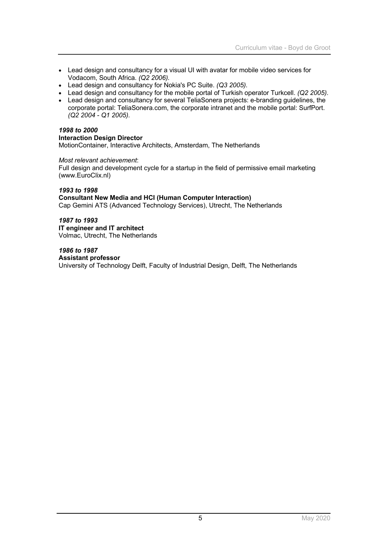- Lead design and consultancy for a visual UI with avatar for mobile video services for Vodacom, South Africa. *(Q2 2006).*
- Lead design and consultancy for Nokia's PC Suite. *(Q3 2005).*
- Lead design and consultancy for the mobile portal of Turkish operator Turkcell. *(Q2 2005)*.
- Lead design and consultancy for several TeliaSonera projects: e-branding guidelines, the corporate portal: TeliaSonera.com, the corporate intranet and the mobile portal: SurfPort. *(Q2 2004 - Q1 2005).*

### *1998 to 2000*

### **Interaction Design Director**

MotionContainer, Interactive Architects, Amsterdam, The Netherlands

#### *Most relevant achievement*:

Full design and development cycle for a startup in the field of permissive email marketing (www.EuroClix.nl)

### *1993 to 1998*

### **Consultant New Media and HCI (Human Computer Interaction)**

Cap Gemini ATS (Advanced Technology Services), Utrecht, The Netherlands

#### *1987 to 1993* **IT engineer and IT architect**

Volmac, Utrecht, The Netherlands

*1986 to 1987* **Assistant professor** University of Technology Delft, Faculty of Industrial Design, Delft, The Netherlands